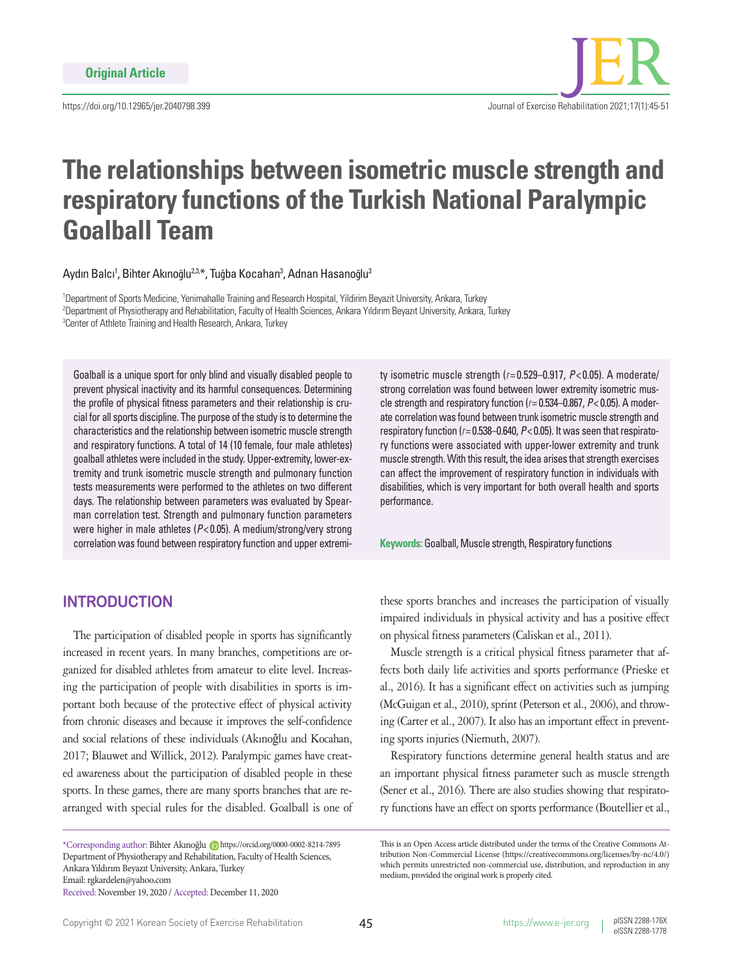

# **The relationships between isometric muscle strength and respiratory functions of the Turkish National Paralympic Goalball Team**

Aydın Balcı<sup>1</sup>, Bihter Akınoğlu<sup>2,3,</sup>\*, Tuğba Kocahan<sup>3</sup>, Adnan Hasanoğlu<sup>3</sup>

1 Department of Sports Medicine, Yenimahalle Training and Research Hospital, Yildirim Beyazit University, Ankara, Turkey 2 Department of Physiotherapy and Rehabilitation, Faculty of Health Sciences, Ankara Yıldırım Beyazıt University, Ankara, Turkey <sup>3</sup> Center of Athlete Training and Health Research, Ankara, Turkey

Goalball is a unique sport for only blind and visually disabled people to prevent physical inactivity and its harmful consequences. Determining the profile of physical fitness parameters and their relationship is crucial for all sports discipline. The purpose of the study is to determine the characteristics and the relationship between isometric muscle strength and respiratory functions. A total of 14 (10 female, four male athletes) goalball athletes were included in the study. Upper-extremity, lower-extremity and trunk isometric muscle strength and pulmonary function tests measurements were performed to the athletes on two different days. The relationship between parameters was evaluated by Spearman correlation test. Strength and pulmonary function parameters were higher in male athletes (*P*< 0.05). A medium/strong/very strong correlation was found between respiratory function and upper extremity isometric muscle strength (*r*= 0.529–0.917, *P*< 0.05). A moderate/ strong correlation was found between lower extremity isometric muscle strength and respiratory function (*r*= 0.534–0.867, *P*< 0.05). A moderate correlation was found between trunk isometric muscle strength and respiratory function (*r*= 0.538–0.640, *P*< 0.05). It was seen that respiratory functions were associated with upper-lower extremity and trunk muscle strength. With this result, the idea arises that strength exercises can affect the improvement of respiratory function in individuals with disabilities, which is very important for both overall health and sports performance.

**Keywords:** Goalball, Muscle strength, Respiratory functions

## **INTRODUCTION**

The participation of disabled people in sports has significantly increased in recent years. In many branches, competitions are organized for disabled athletes from amateur to elite level. Increasing the participation of people with disabilities in sports is important both because of the protective effect of physical activity from chronic diseases and because it improves the self-confidence and social relations of these individuals (Akınoğlu and Kocahan, 2017; Blauwet and Willick, 2012). Paralympic games have created awareness about the participation of disabled people in these sports. In these games, there are many sports branches that are rearranged with special rules for the disabled. Goalball is one of

\*Corresponding author: Bihter Akınoğlu https://orcid.org/0000-0002-8214-7895 Department of Physiotherapy and Rehabilitation, Faculty of Health Sciences, Ankara Yıldırım Beyazıt University, Ankara, Turkey Email: rgkardelen@yahoo.com

Received: November 19, 2020 / Accepted: December 11, 2020

these sports branches and increases the participation of visually impaired individuals in physical activity and has a positive effect on physical fitness parameters (Caliskan et al., 2011).

Muscle strength is a critical physical fitness parameter that affects both daily life activities and sports performance (Prieske et al., 2016). It has a significant effect on activities such as jumping (McGuigan et al., 2010), sprint (Peterson et al., 2006), and throwing (Carter et al., 2007). It also has an important effect in preventing sports injuries (Niemuth, 2007).

Respiratory functions determine general health status and are an important physical fitness parameter such as muscle strength (Sener et al., 2016). There are also studies showing that respiratory functions have an effect on sports performance (Boutellier et al.,

This is an Open Access article distributed under the terms of the Creative Commons Attribution Non-Commercial License (https://creativecommons.org/licenses/by-nc/4.0/) which permits unrestricted non-commercial use, distribution, and reproduction in any medium, provided the original work is properly cited.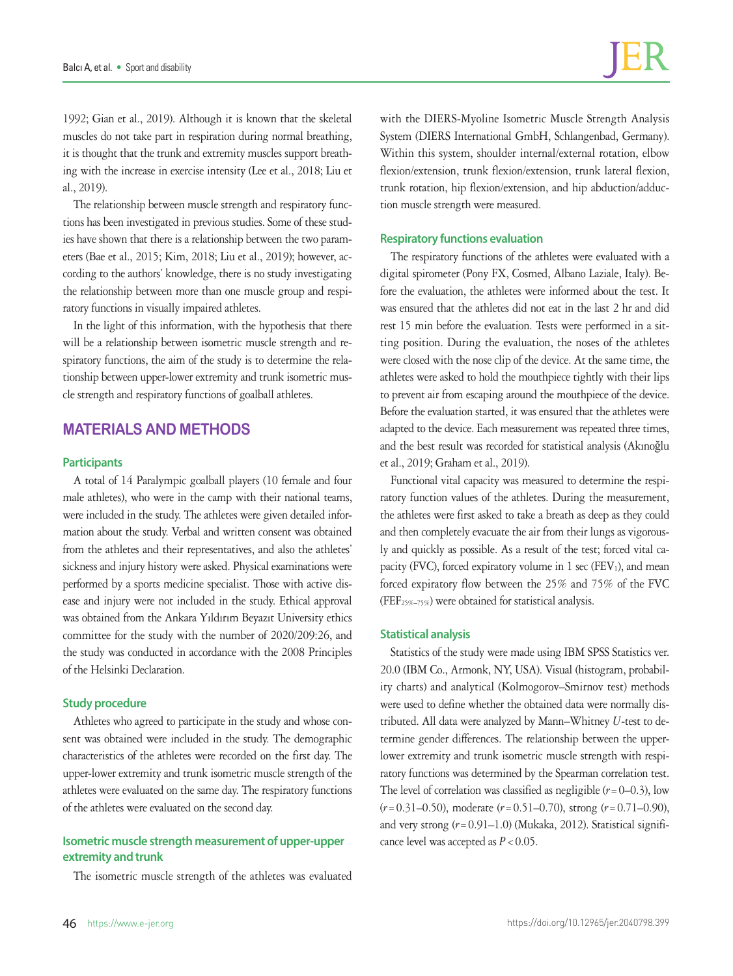1992; Gian et al., 2019). Although it is known that the skeletal muscles do not take part in respiration during normal breathing, it is thought that the trunk and extremity muscles support breathing with the increase in exercise intensity (Lee et al., 2018; Liu et al., 2019).

The relationship between muscle strength and respiratory functions has been investigated in previous studies. Some of these studies have shown that there is a relationship between the two parameters (Bae et al., 2015; Kim, 2018; Liu et al., 2019); however, according to the authors' knowledge, there is no study investigating the relationship between more than one muscle group and respiratory functions in visually impaired athletes.

In the light of this information, with the hypothesis that there will be a relationship between isometric muscle strength and respiratory functions, the aim of the study is to determine the relationship between upper-lower extremity and trunk isometric muscle strength and respiratory functions of goalball athletes.

# **MATERIALS AND METHODS**

### **Participants**

A total of 14 Paralympic goalball players (10 female and four male athletes), who were in the camp with their national teams, were included in the study. The athletes were given detailed information about the study. Verbal and written consent was obtained from the athletes and their representatives, and also the athletes' sickness and injury history were asked. Physical examinations were performed by a sports medicine specialist. Those with active disease and injury were not included in the study. Ethical approval was obtained from the Ankara Yıldırım Beyazıt University ethics committee for the study with the number of 2020/209:26, and the study was conducted in accordance with the 2008 Principles of the Helsinki Declaration.

## **Study procedure**

Athletes who agreed to participate in the study and whose consent was obtained were included in the study. The demographic characteristics of the athletes were recorded on the first day. The upper-lower extremity and trunk isometric muscle strength of the athletes were evaluated on the same day. The respiratory functions of the athletes were evaluated on the second day.

## **Isometric muscle strength measurement of upper-upper extremity and trunk**

The isometric muscle strength of the athletes was evaluated

with the DIERS-Myoline Isometric Muscle Strength Analysis System (DIERS International GmbH, Schlangenbad, Germany). Within this system, shoulder internal/external rotation, elbow flexion/extension, trunk flexion/extension, trunk lateral flexion, trunk rotation, hip flexion/extension, and hip abduction/adduction muscle strength were measured.

#### **Respiratory functions evaluation**

The respiratory functions of the athletes were evaluated with a digital spirometer (Pony FX, Cosmed, Albano Laziale, Italy). Before the evaluation, the athletes were informed about the test. It was ensured that the athletes did not eat in the last 2 hr and did rest 15 min before the evaluation. Tests were performed in a sitting position. During the evaluation, the noses of the athletes were closed with the nose clip of the device. At the same time, the athletes were asked to hold the mouthpiece tightly with their lips to prevent air from escaping around the mouthpiece of the device. Before the evaluation started, it was ensured that the athletes were adapted to the device. Each measurement was repeated three times, and the best result was recorded for statistical analysis (Akınoğlu et al., 2019; Graham et al., 2019).

Functional vital capacity was measured to determine the respiratory function values of the athletes. During the measurement, the athletes were first asked to take a breath as deep as they could and then completely evacuate the air from their lungs as vigorously and quickly as possible. As a result of the test; forced vital capacity (FVC), forced expiratory volume in 1 sec (FEV1), and mean forced expiratory flow between the 25% and 75% of the FVC (FEF25%–75%) were obtained for statistical analysis.

#### **Statistical analysis**

Statistics of the study were made using IBM SPSS Statistics ver. 20.0 (IBM Co., Armonk, NY, USA). Visual (histogram, probability charts) and analytical (Kolmogorov–Smirnov test) methods were used to define whether the obtained data were normally distributed. All data were analyzed by Mann–Whitney *U*-test to determine gender differences. The relationship between the upperlower extremity and trunk isometric muscle strength with respiratory functions was determined by the Spearman correlation test. The level of correlation was classified as negligible  $(r=0-0.3)$ , low (*r*=0.31–0.50), moderate (*r*=0.51–0.70), strong (*r*=0.71–0.90), and very strong (*r*=0.91–1.0) (Mukaka, 2012). Statistical significance level was accepted as  $P < 0.05$ .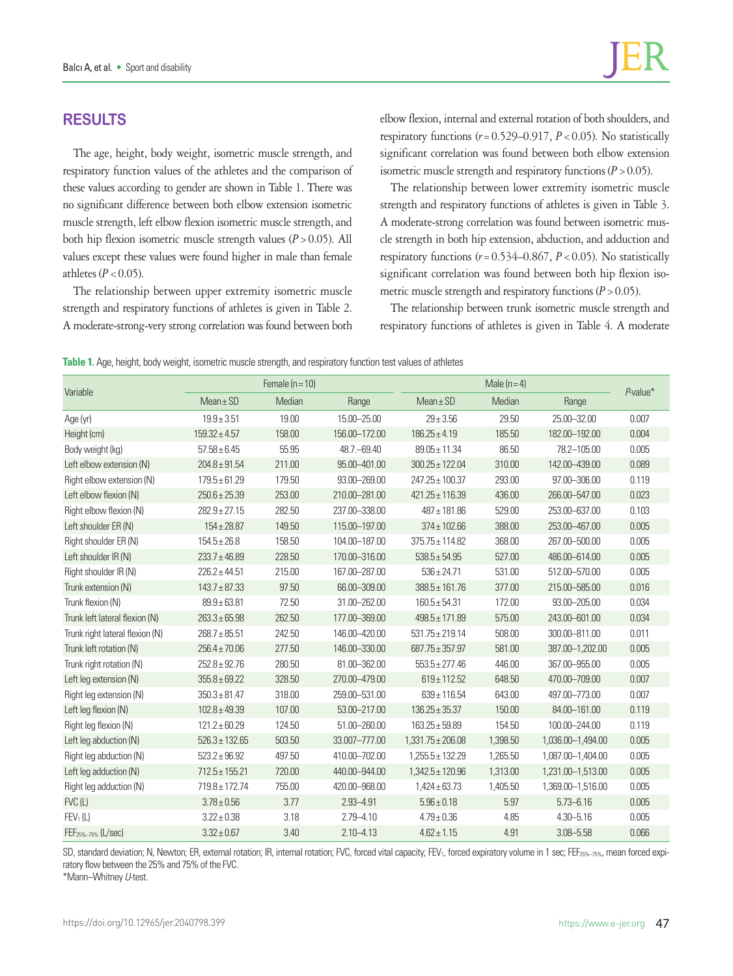# **RESULTS**

The age, height, body weight, isometric muscle strength, and respiratory function values of the athletes and the comparison of these values according to gender are shown in Table 1. There was no significant difference between both elbow extension isometric muscle strength, left elbow flexion isometric muscle strength, and both hip flexion isometric muscle strength values  $(P > 0.05)$ . All values except these values were found higher in male than female athletes  $(P < 0.05)$ .

The relationship between upper extremity isometric muscle strength and respiratory functions of athletes is given in Table 2. A moderate-strong-very strong correlation was found between both elbow flexion, internal and external rotation of both shoulders, and respiratory functions  $(r=0.529-0.917, P<0.05)$ . No statistically significant correlation was found between both elbow extension isometric muscle strength and respiratory functions  $(P > 0.05)$ .

The relationship between lower extremity isometric muscle strength and respiratory functions of athletes is given in Table 3. A moderate-strong correlation was found between isometric muscle strength in both hip extension, abduction, and adduction and respiratory functions  $(r=0.534-0.867, P<0.05)$ . No statistically significant correlation was found between both hip flexion isometric muscle strength and respiratory functions  $(P > 0.05)$ .

The relationship between trunk isometric muscle strength and respiratory functions of athletes is given in Table 4. A moderate

|                                 |                    | Female $(n = 10)$ |                 |                       |          |                   |             |
|---------------------------------|--------------------|-------------------|-----------------|-----------------------|----------|-------------------|-------------|
| Variable                        | $Mean \pm SD$      | Median            | Range           | $Mean \pm SD$         | Median   | Range             | $P$ -value* |
| Age (yr)                        | $19.9 \pm 3.51$    | 19.00             | 15.00 - 25.00   | $29 \pm 3.56$         | 29.50    | 25.00 - 32.00     | 0.007       |
| Height (cm)                     | $159.32 \pm 4.57$  | 158.00            | 156.00-172.00   | $186.25 \pm 4.19$     | 185.50   | 182.00-192.00     | 0.004       |
| Body weight (kg)                | $57.58 \pm 6.45$   | 55.95             | 48.7. - 69.40   | $89.05 \pm 11.34$     | 86.50    | 78.2-105.00       | 0.005       |
| Left elbow extension (N)        | $204.8 \pm 91.54$  | 211.00            | 95.00 - 401.00  | $300.25 \pm 122.04$   | 310.00   | 142.00 - 439.00   | 0.089       |
| Right elbow extension (N)       | $179.5 \pm 61.29$  | 179.50            | 93.00-269.00    | 247.25 ± 100.37       | 293.00   | 97.00-306.00      | 0.119       |
| Left elbow flexion (N)          | $250.6 \pm 25.39$  | 253.00            | 210.00-281.00   | $421.25 \pm 116.39$   | 436.00   | 266.00 - 547.00   | 0.023       |
| Right elbow flexion (N)         | $282.9 \pm 27.15$  | 282.50            | 237.00-338.00   | $487 \pm 181.86$      | 529.00   | 253.00-637.00     | 0.103       |
| Left shoulder ER (N)            | $154 \pm 28.87$    | 149.50            | 115.00-197.00   | $374 \pm 102.66$      | 388.00   | 253.00-467.00     | 0.005       |
| Right shoulder ER (N)           | $154.5 \pm 26.8$   | 158.50            | 104.00-187.00   | $375.75 \pm 114.82$   | 368.00   | 267.00-500.00     | 0.005       |
| Left shoulder IR (N)            | $233.7 \pm 46.89$  | 228.50            | 170.00-316.00   | $538.5 \pm 54.95$     | 527.00   | 486.00-614.00     | 0.005       |
| Right shoulder IR (N)           | $226.2 \pm 44.51$  | 215.00            | 167.00-287.00   | $536 \pm 24.71$       | 531.00   | 512.00 - 570.00   | 0.005       |
| Trunk extension (N)             | $143.7 \pm 87.33$  | 97.50             | 66.00-309.00    | $388.5 \pm 161.76$    | 377.00   | 215.00 - 585.00   | 0.016       |
| Trunk flexion (N)               | $89.9 \pm 63.81$   | 72.50             | 31.00-262.00    | $160.5 \pm 54.31$     | 172.00   | 93.00-205.00      | 0.034       |
| Trunk left lateral flexion (N)  | $263.3 \pm 65.98$  | 262.50            | 177.00-369.00   | 498.5 ± 171.89        | 575.00   | 243.00-601.00     | 0.034       |
| Trunk right lateral flexion (N) | $268.7 \pm 85.51$  | 242.50            | 146.00-420.00   | $531.75 \pm 219.14$   | 508.00   | 300.00-811.00     | 0.011       |
| Trunk left rotation (N)         | $256.4 \pm 70.06$  | 277.50            | 146.00-330.00   | $687.75 \pm 357.97$   | 581.00   | 387.00-1,202.00   | 0.005       |
| Trunk right rotation (N)        | $252.8 \pm 92.76$  | 280.50            | 81.00-362.00    | $553.5 \pm 277.46$    | 446.00   | 367.00 - 955.00   | 0.005       |
| Left leg extension (N)          | $355.8 \pm 69.22$  | 328.50            | 270.00-479.00   | $619 \pm 112.52$      | 648.50   | 470.00-709.00     | 0.007       |
| Right leg extension (N)         | $350.3 \pm 81.47$  | 318.00            | 259.00-531.00   | 639±116.54            | 643.00   | 497.00-773.00     | 0.007       |
| Left leg flexion (N)            | $102.8 \pm 49.39$  | 107.00            | 53.00-217.00    | $136.25 \pm 35.37$    | 150.00   | 84.00-161.00      | 0.119       |
| Right leg flexion (N)           | $121.2 \pm 60.29$  | 124.50            | 51.00-260.00    | $163.25 \pm 59.89$    | 154.50   | 100.00-244.00     | 0.119       |
| Left leg abduction (N)          | $526.3 \pm 132.65$ | 503.50            | 33.007-777.00   | $1,331.75 \pm 206.08$ | 1,398.50 | 1,036.00-1,494.00 | 0.005       |
| Right leg abduction (N)         | $523.2 \pm 96.92$  | 497.50            | 410.00-702.00   | $1,255.5 \pm 132.29$  | 1,265.50 | 1,087.00-1,404.00 | 0.005       |
| Left leg adduction (N)          | $712.5 \pm 155.21$ | 720.00            | 440.00 - 944.00 | $1,342.5 \pm 120.96$  | 1,313.00 | 1,231.00-1,513.00 | 0.005       |
| Right leg adduction (N)         | 719.8 ± 172.74     | 755.00            | 420.00-968.00   | $1,424 \pm 63.73$     | 1,405.50 | 1,369.00-1,516.00 | 0.005       |
| FVC(L)                          | $3.78 \pm 0.56$    | 3.77              | 2.93-4.91       | $5.96 \pm 0.18$       | 5.97     | $5.73 - 6.16$     | 0.005       |
| FEV <sub>1</sub> (L)            | $3.22 \pm 0.38$    | 3.18              | $2.79 - 4.10$   | $4.79 \pm 0.36$       | 4.85     | $4.30 - 5.16$     | 0.005       |
| FEF <sub>25%-75%</sub> (L/sec)  | $3.32 \pm 0.67$    | 3.40              | $2.10 - 4.13$   | $4.62 \pm 1.15$       | 4.91     | $3.08 - 5.58$     | 0.066       |

SD, standard deviation; N, Newton; ER, external rotation; IR, internal rotation; FVC, forced vital capacity; FEV<sub>1</sub>, forced expiratory volume in 1 sec; FEF<sub>25%–75%</sub>, mean forced expiratory flow between the 25% and 75% of the FVC.

\*Mann–Whitney *U*-test.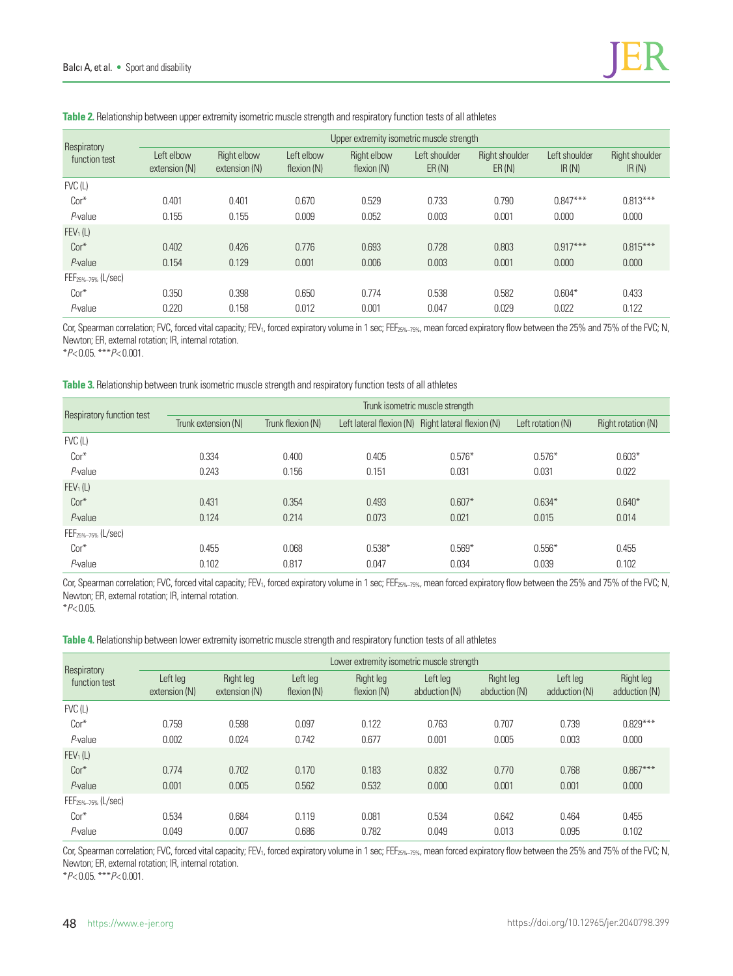| Respiratory<br>function test   | Upper extremity isometric muscle strength |                              |                           |                            |                        |                         |                        |                                |  |
|--------------------------------|-------------------------------------------|------------------------------|---------------------------|----------------------------|------------------------|-------------------------|------------------------|--------------------------------|--|
|                                | Left elbow<br>extension (N)               | Right elbow<br>extension (N) | Left elbow<br>flexion (N) | Right elbow<br>flexion (N) | Left shoulder<br>ER(N) | Right shoulder<br>ER(N) | Left shoulder<br>IR(N) | <b>Right shoulder</b><br>IR(N) |  |
| $FVC$ (L)                      |                                           |                              |                           |                            |                        |                         |                        |                                |  |
| $Cor*$                         | 0.401                                     | 0.401                        | 0.670                     | 0.529                      | 0.733                  | 0.790                   | $0.847***$             | $0.813***$                     |  |
| $P$ -value                     | 0.155                                     | 0.155                        | 0.009                     | 0.052                      | 0.003                  | 0.001                   | 0.000                  | 0.000                          |  |
| FEV <sub>1</sub> (L)           |                                           |                              |                           |                            |                        |                         |                        |                                |  |
| $Cor*$                         | 0.402                                     | 0.426                        | 0.776                     | 0.693                      | 0.728                  | 0.803                   | $0.917***$             | $0.815***$                     |  |
| $P$ -value                     | 0.154                                     | 0.129                        | 0.001                     | 0.006                      | 0.003                  | 0.001                   | 0.000                  | 0.000                          |  |
| FEF <sub>25%-75%</sub> (L/sec) |                                           |                              |                           |                            |                        |                         |                        |                                |  |
| $Cor*$                         | 0.350                                     | 0.398                        | 0.650                     | 0.774                      | 0.538                  | 0.582                   | $0.604*$               | 0.433                          |  |
| $P$ -value                     | 0.220                                     | 0.158                        | 0.012                     | 0.001                      | 0.047                  | 0.029                   | 0.022                  | 0.122                          |  |

**Table 2.** Relationship between upper extremity isometric muscle strength and respiratory function tests of all athletes

Cor, Spearman correlation; FVC, forced vital capacity; FEV<sub>1</sub>, forced expiratory volume in 1 sec; FEF<sub>25%–75%</sub>, mean forced expiratory flow between the 25% and 75% of the FVC; N, Newton; ER, external rotation; IR, internal rotation.

\**P*< 0.05. \*\*\**P*< 0.001.

#### **Table 3.** Relationship between trunk isometric muscle strength and respiratory function tests of all athletes

| Respiratory function test      | Trunk isometric muscle strength |                   |          |                                                    |                   |                    |  |  |  |
|--------------------------------|---------------------------------|-------------------|----------|----------------------------------------------------|-------------------|--------------------|--|--|--|
|                                | Trunk extension (N)             | Trunk flexion (N) |          | Left lateral flexion (N) Right lateral flexion (N) | Left rotation (N) | Right rotation (N) |  |  |  |
| $FVC$ (L)                      |                                 |                   |          |                                                    |                   |                    |  |  |  |
| $Cor*$                         | 0.334                           | 0.400             | 0.405    | $0.576*$                                           | $0.576*$          | $0.603*$           |  |  |  |
| $P$ -value                     | 0.243                           | 0.156             | 0.151    | 0.031                                              | 0.031             | 0.022              |  |  |  |
| FEV <sub>1</sub> (L)           |                                 |                   |          |                                                    |                   |                    |  |  |  |
| $Cor*$                         | 0.431                           | 0.354             | 0.493    | $0.607*$                                           | $0.634*$          | $0.640*$           |  |  |  |
| $P$ -value                     | 0.124                           | 0.214             | 0.073    | 0.021                                              | 0.015             | 0.014              |  |  |  |
| FEF <sub>25%-75%</sub> (L/sec) |                                 |                   |          |                                                    |                   |                    |  |  |  |
| $Cor*$                         | 0.455                           | 0.068             | $0.538*$ | $0.569*$                                           | $0.556*$          | 0.455              |  |  |  |
| P-value                        | 0.102                           | 0.817             | 0.047    | 0.034                                              | 0.039             | 0.102              |  |  |  |

Cor, Spearman correlation; FVC, forced vital capacity; FEV<sub>1</sub>, forced expiratory volume in 1 sec; FEF<sub>25%–75%</sub>, mean forced expiratory flow between the 25% and 75% of the FVC; N, Newton; ER, external rotation; IR, internal rotation.

\**P*< 0.05.

**Table 4.** Relationship between lower extremity isometric muscle strength and respiratory function tests of all athletes

| Respiratory<br>function test | Lower extremity isometric muscle strength |                            |                         |                          |                           |                            |                           |                            |  |
|------------------------------|-------------------------------------------|----------------------------|-------------------------|--------------------------|---------------------------|----------------------------|---------------------------|----------------------------|--|
|                              | Left leg<br>extension (N)                 | Right leg<br>extension (N) | Left leg<br>flexion (N) | Right leg<br>flexion (N) | Left leg<br>abduction (N) | Right leg<br>abduction (N) | Left leg<br>adduction (N) | Right leg<br>adduction (N) |  |
| $FVC$ (L)                    |                                           |                            |                         |                          |                           |                            |                           |                            |  |
| $Cor*$                       | 0.759                                     | 0.598                      | 0.097                   | 0.122                    | 0.763                     | 0.707                      | 0.739                     | $0.829***$                 |  |
| $P$ -value                   | 0.002                                     | 0.024                      | 0.742                   | 0.677                    | 0.001                     | 0.005                      | 0.003                     | 0.000                      |  |
| FEV <sub>1</sub> (L)         |                                           |                            |                         |                          |                           |                            |                           |                            |  |
| $Cor*$                       | 0.774                                     | 0.702                      | 0.170                   | 0.183                    | 0.832                     | 0.770                      | 0.768                     | $0.867***$                 |  |
| $P$ -value                   | 0.001                                     | 0.005                      | 0.562                   | 0.532                    | 0.000                     | 0.001                      | 0.001                     | 0.000                      |  |
| $FEF_{25\%-75\%}$ (L/sec)    |                                           |                            |                         |                          |                           |                            |                           |                            |  |
| $Cor*$                       | 0.534                                     | 0.684                      | 0.119                   | 0.081                    | 0.534                     | 0.642                      | 0.464                     | 0.455                      |  |
| $P$ -value                   | 0.049                                     | 0.007                      | 0.686                   | 0.782                    | 0.049                     | 0.013                      | 0.095                     | 0.102                      |  |

Cor, Spearman correlation; FVC, forced vital capacity; FEV<sub>1</sub>, forced expiratory volume in 1 sec; FEF<sub>25%–75%</sub>, mean forced expiratory flow between the 25% and 75% of the FVC; N, Newton; ER, external rotation; IR, internal rotation.

\**P*< 0.05. \*\*\**P*< 0.001.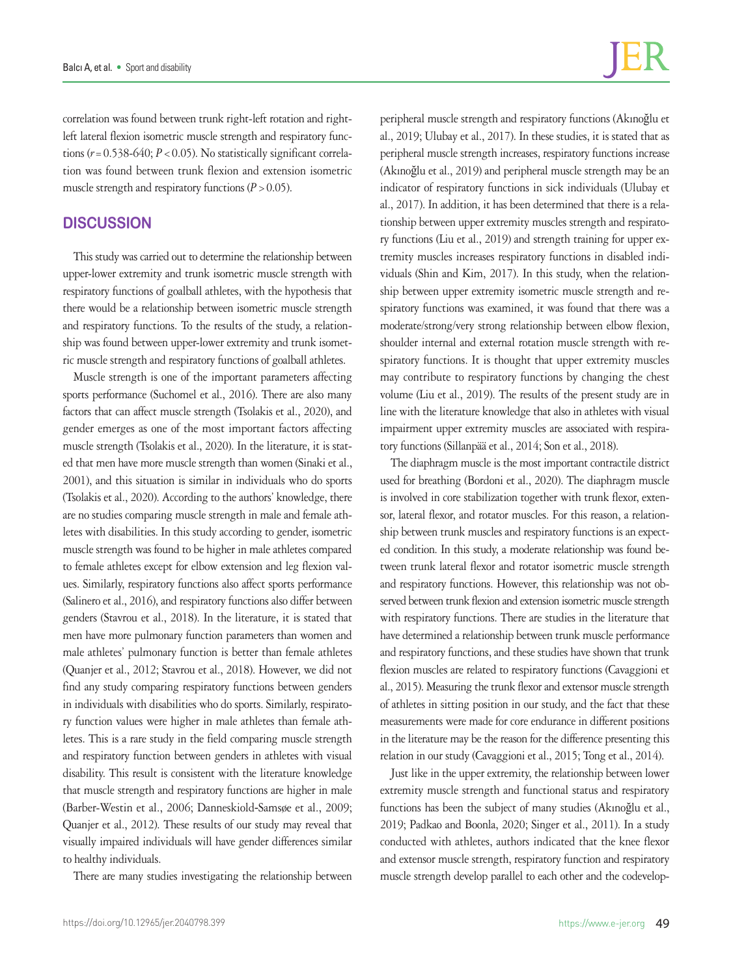correlation was found between trunk right-left rotation and rightleft lateral flexion isometric muscle strength and respiratory functions ( $r = 0.538-640$ ;  $P < 0.05$ ). No statistically significant correlation was found between trunk flexion and extension isometric muscle strength and respiratory functions  $(P > 0.05)$ .

## **DISCUSSION**

This study was carried out to determine the relationship between upper-lower extremity and trunk isometric muscle strength with respiratory functions of goalball athletes, with the hypothesis that there would be a relationship between isometric muscle strength and respiratory functions. To the results of the study, a relationship was found between upper-lower extremity and trunk isometric muscle strength and respiratory functions of goalball athletes.

Muscle strength is one of the important parameters affecting sports performance (Suchomel et al., 2016). There are also many factors that can affect muscle strength (Tsolakis et al., 2020), and gender emerges as one of the most important factors affecting muscle strength (Tsolakis et al., 2020). In the literature, it is stated that men have more muscle strength than women (Sinaki et al., 2001), and this situation is similar in individuals who do sports (Tsolakis et al., 2020). According to the authors' knowledge, there are no studies comparing muscle strength in male and female athletes with disabilities. In this study according to gender, isometric muscle strength was found to be higher in male athletes compared to female athletes except for elbow extension and leg flexion values. Similarly, respiratory functions also affect sports performance (Salinero et al., 2016), and respiratory functions also differ between genders (Stavrou et al., 2018). In the literature, it is stated that men have more pulmonary function parameters than women and male athletes' pulmonary function is better than female athletes (Quanjer et al., 2012; Stavrou et al., 2018). However, we did not find any study comparing respiratory functions between genders in individuals with disabilities who do sports. Similarly, respiratory function values were higher in male athletes than female athletes. This is a rare study in the field comparing muscle strength and respiratory function between genders in athletes with visual disability. This result is consistent with the literature knowledge that muscle strength and respiratory functions are higher in male (Barber-Westin et al., 2006; Danneskiold‐Samsøe et al., 2009; Quanjer et al., 2012). These results of our study may reveal that visually impaired individuals will have gender differences similar to healthy individuals.

There are many studies investigating the relationship between

peripheral muscle strength and respiratory functions (Akınoğlu et al., 2019; Ulubay et al., 2017). In these studies, it is stated that as peripheral muscle strength increases, respiratory functions increase (Akınoğlu et al., 2019) and peripheral muscle strength may be an indicator of respiratory functions in sick individuals (Ulubay et al., 2017). In addition, it has been determined that there is a relationship between upper extremity muscles strength and respiratory functions (Liu et al., 2019) and strength training for upper extremity muscles increases respiratory functions in disabled individuals (Shin and Kim, 2017). In this study, when the relationship between upper extremity isometric muscle strength and respiratory functions was examined, it was found that there was a moderate/strong/very strong relationship between elbow flexion, shoulder internal and external rotation muscle strength with respiratory functions. It is thought that upper extremity muscles may contribute to respiratory functions by changing the chest volume (Liu et al., 2019). The results of the present study are in line with the literature knowledge that also in athletes with visual impairment upper extremity muscles are associated with respiratory functions (Sillanpää et al., 2014; Son et al., 2018).

The diaphragm muscle is the most important contractile district used for breathing (Bordoni et al., 2020). The diaphragm muscle is involved in core stabilization together with trunk flexor, extensor, lateral flexor, and rotator muscles. For this reason, a relationship between trunk muscles and respiratory functions is an expected condition. In this study, a moderate relationship was found between trunk lateral flexor and rotator isometric muscle strength and respiratory functions. However, this relationship was not observed between trunk flexion and extension isometric muscle strength with respiratory functions. There are studies in the literature that have determined a relationship between trunk muscle performance and respiratory functions, and these studies have shown that trunk flexion muscles are related to respiratory functions (Cavaggioni et al., 2015). Measuring the trunk flexor and extensor muscle strength of athletes in sitting position in our study, and the fact that these measurements were made for core endurance in different positions in the literature may be the reason for the difference presenting this relation in our study (Cavaggioni et al., 2015; Tong et al., 2014).

Just like in the upper extremity, the relationship between lower extremity muscle strength and functional status and respiratory functions has been the subject of many studies (Akınoğlu et al., 2019; Padkao and Boonla, 2020; Singer et al., 2011). In a study conducted with athletes, authors indicated that the knee flexor and extensor muscle strength, respiratory function and respiratory muscle strength develop parallel to each other and the codevelop-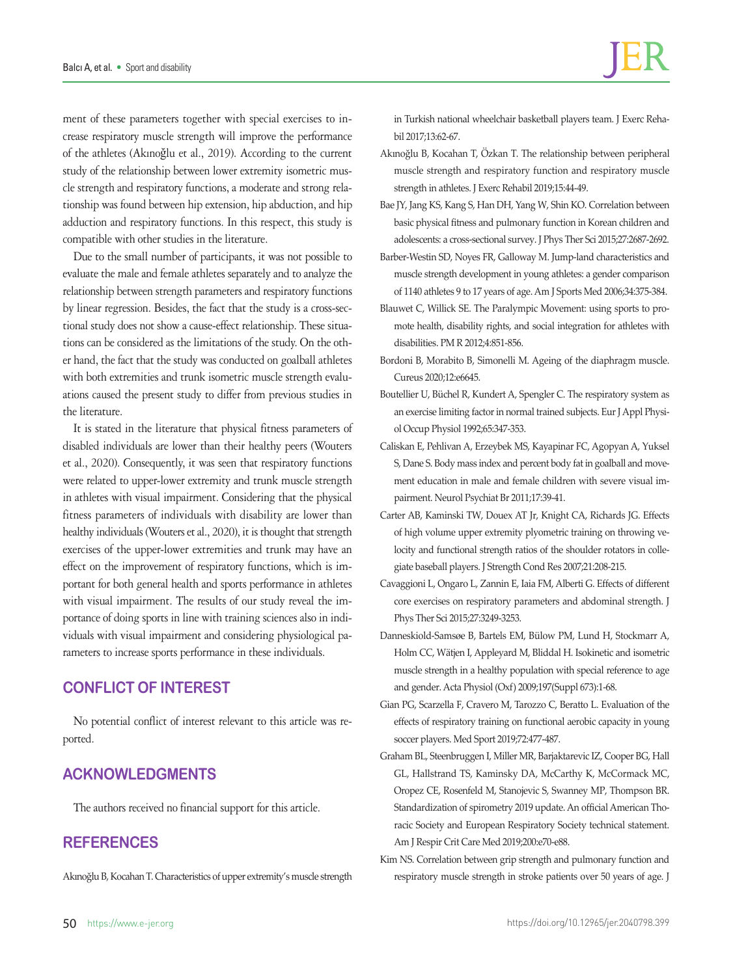ment of these parameters together with special exercises to increase respiratory muscle strength will improve the performance of the athletes (Akınoğlu et al., 2019). According to the current study of the relationship between lower extremity isometric muscle strength and respiratory functions, a moderate and strong relationship was found between hip extension, hip abduction, and hip adduction and respiratory functions. In this respect, this study is compatible with other studies in the literature.

Due to the small number of participants, it was not possible to evaluate the male and female athletes separately and to analyze the relationship between strength parameters and respiratory functions by linear regression. Besides, the fact that the study is a cross-sectional study does not show a cause-effect relationship. These situations can be considered as the limitations of the study. On the other hand, the fact that the study was conducted on goalball athletes with both extremities and trunk isometric muscle strength evaluations caused the present study to differ from previous studies in the literature.

It is stated in the literature that physical fitness parameters of disabled individuals are lower than their healthy peers (Wouters et al., 2020). Consequently, it was seen that respiratory functions were related to upper-lower extremity and trunk muscle strength in athletes with visual impairment. Considering that the physical fitness parameters of individuals with disability are lower than healthy individuals (Wouters et al., 2020), it is thought that strength exercises of the upper-lower extremities and trunk may have an effect on the improvement of respiratory functions, which is important for both general health and sports performance in athletes with visual impairment. The results of our study reveal the importance of doing sports in line with training sciences also in individuals with visual impairment and considering physiological parameters to increase sports performance in these individuals.

## **CONFLICT OF INTEREST**

No potential conflict of interest relevant to this article was reported.

## **ACKNOWLEDGMENTS**

The authors received no financial support for this article.

# **REFERENCES**

Akınoğlu B, Kocahan T. Characteristics of upper extremity's muscle strength

in Turkish national wheelchair basketball players team. J Exerc Rehabil 2017;13:62-67.

- Akınoğlu B, Kocahan T, Özkan T. The relationship between peripheral muscle strength and respiratory function and respiratory muscle strength in athletes. J Exerc Rehabil 2019;15:44-49.
- Bae JY, Jang KS, Kang S, Han DH, Yang W, Shin KO. Correlation between basic physical fitness and pulmonary function in Korean children and adolescents: a cross-sectional survey. J Phys Ther Sci 2015;27:2687-2692.
- Barber-Westin SD, Noyes FR, Galloway M. Jump-land characteristics and muscle strength development in young athletes: a gender comparison of 1140 athletes 9 to 17 years of age. Am J Sports Med 2006;34:375-384.
- Blauwet C, Willick SE. The Paralympic Movement: using sports to promote health, disability rights, and social integration for athletes with disabilities. PM R 2012;4:851-856.
- Bordoni B, Morabito B, Simonelli M. Ageing of the diaphragm muscle. Cureus 2020;12:e6645.
- Boutellier U, Büchel R, Kundert A, Spengler C. The respiratory system as an exercise limiting factor in normal trained subjects. Eur J Appl Physiol Occup Physiol 1992;65:347-353.
- Caliskan E, Pehlivan A, Erzeybek MS, Kayapinar FC, Agopyan A, Yuksel S, Dane S. Body mass index and percent body fat in goalball and movement education in male and female children with severe visual impairment. Neurol Psychiat Br 2011;17:39-41.
- Carter AB, Kaminski TW, Douex AT Jr, Knight CA, Richards JG. Effects of high volume upper extremity plyometric training on throwing velocity and functional strength ratios of the shoulder rotators in collegiate baseball players. J Strength Cond Res 2007;21:208-215.
- Cavaggioni L, Ongaro L, Zannin E, Iaia FM, Alberti G. Effects of different core exercises on respiratory parameters and abdominal strength. J Phys Ther Sci 2015;27:3249-3253.
- Danneskiold-Samsøe B, Bartels EM, Bülow PM, Lund H, Stockmarr A, Holm CC, Wätjen I, Appleyard M, Bliddal H. Isokinetic and isometric muscle strength in a healthy population with special reference to age and gender. Acta Physiol (Oxf) 2009;197(Suppl 673):1-68.
- Gian PG, Scarzella F, Cravero M, Tarozzo C, Beratto L. Evaluation of the effects of respiratory training on functional aerobic capacity in young soccer players. Med Sport 2019;72:477-487.
- Graham BL, Steenbruggen I, Miller MR, Barjaktarevic IZ, Cooper BG, Hall GL, Hallstrand TS, Kaminsky DA, McCarthy K, McCormack MC, Oropez CE, Rosenfeld M, Stanojevic S, Swanney MP, Thompson BR. Standardization of spirometry 2019 update. An official American Thoracic Society and European Respiratory Society technical statement. Am J Respir Crit Care Med 2019;200:e70-e88.
- Kim NS. Correlation between grip strength and pulmonary function and respiratory muscle strength in stroke patients over 50 years of age. J